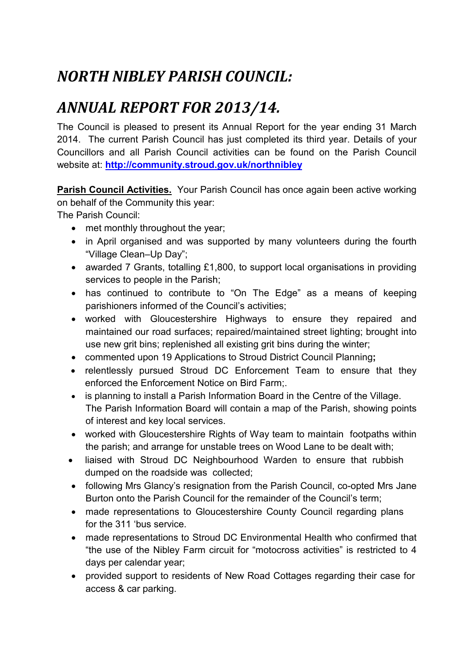# *NORTH NIBLEY PARISH COUNCIL:*

## *ANNUAL REPORT FOR 2013/14.*

The Council is pleased to present its Annual Report for the year ending 31 March 2014. The current Parish Council has just completed its third year. Details of your Councillors and all Parish Council activities can be found on the Parish Council website at: **http://community.stroud.gov.uk/northnibley**

**Parish Council Activities.** Your Parish Council has once again been active working on behalf of the Community this year:

The Parish Council:

- met monthly throughout the year;
- in April organised and was supported by many volunteers during the fourth "Village Clean–Up Day";
- awarded 7 Grants, totalling £1,800, to support local organisations in providing services to people in the Parish;
- has continued to contribute to "On The Edge" as a means of keeping parishioners informed of the Council's activities;
- worked with Gloucestershire Highways to ensure they repaired and maintained our road surfaces; repaired/maintained street lighting; brought into use new grit bins; replenished all existing grit bins during the winter;
- commented upon 19 Applications to Stroud District Council Planning**;**
- relentlessly pursued Stroud DC Enforcement Team to ensure that they enforced the Enforcement Notice on Bird Farm;.
- is planning to install a Parish Information Board in the Centre of the Village. The Parish Information Board will contain a map of the Parish, showing points of interest and key local services.
- worked with Gloucestershire Rights of Way team to maintain footpaths within the parish; and arrange for unstable trees on Wood Lane to be dealt with;
- liaised with Stroud DC Neighbourhood Warden to ensure that rubbish dumped on the roadside was collected;
- following Mrs Glancy's resignation from the Parish Council, co-opted Mrs Jane Burton onto the Parish Council for the remainder of the Council's term;
- made representations to Gloucestershire County Council regarding plans for the 311 'bus service.
- made representations to Stroud DC Environmental Health who confirmed that "the use of the Nibley Farm circuit for "motocross activities" is restricted to 4 days per calendar year;
- provided support to residents of New Road Cottages regarding their case for access & car parking.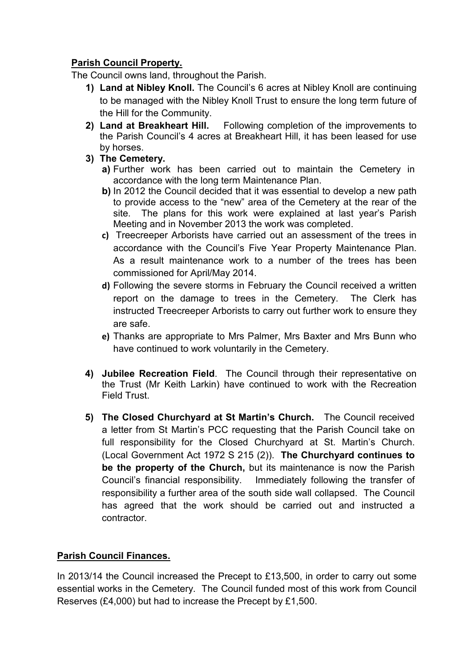#### **Parish Council Property.**

The Council owns land, throughout the Parish.

- **1) Land at Nibley Knoll.** The Council's 6 acres at Nibley Knoll are continuing to be managed with the Nibley Knoll Trust to ensure the long term future of the Hill for the Community.
- **2) Land at Breakheart Hill.** Following completion of the improvements to the Parish Council's 4 acres at Breakheart Hill, it has been leased for use by horses.
- **3) The Cemetery.**
	- **a)** Further work has been carried out to maintain the Cemetery in accordance with the long term Maintenance Plan.
	- **b)** In 2012 the Council decided that it was essential to develop a new path to provide access to the "new" area of the Cemetery at the rear of the site. The plans for this work were explained at last year's Parish Meeting and in November 2013 the work was completed.
	- **c)** Treecreeper Arborists have carried out an assessment of the trees in accordance with the Council's Five Year Property Maintenance Plan. As a result maintenance work to a number of the trees has been commissioned for April/May 2014.
	- **d)** Following the severe storms in February the Council received a written report on the damage to trees in the Cemetery. The Clerk has instructed Treecreeper Arborists to carry out further work to ensure they are safe.
	- **e)** Thanks are appropriate to Mrs Palmer, Mrs Baxter and Mrs Bunn who have continued to work voluntarily in the Cemetery.
- **4) Jubilee Recreation Field**. The Council through their representative on the Trust (Mr Keith Larkin) have continued to work with the Recreation Field Trust.
- **5) The Closed Churchyard at St Martin's Church.** The Council received a letter from St Martin's PCC requesting that the Parish Council take on full responsibility for the Closed Churchyard at St. Martin's Church. (Local Government Act 1972 S 215 (2)). **The Churchyard continues to be the property of the Church,** but its maintenance is now the Parish Council's financial responsibility. Immediately following the transfer of responsibility a further area of the south side wall collapsed. The Council has agreed that the work should be carried out and instructed a contractor.

### **Parish Council Finances.**

In 2013/14 the Council increased the Precept to £13,500, in order to carry out some essential works in the Cemetery. The Council funded most of this work from Council Reserves (£4,000) but had to increase the Precept by £1,500.